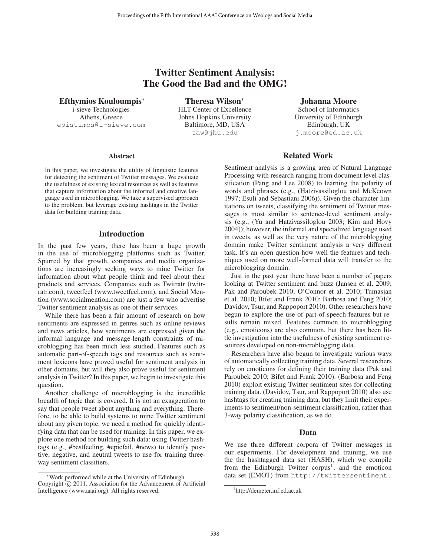# Twitter Sentiment Analysis: The Good the Bad and the OMG!

Efthymios Kouloumpis<sup>∗</sup> i-sieve Technologies

Athens, Greece epistimos@i-sieve.com

Theresa Wilson<sup>∗</sup> HLT Center of Excellence Johns Hopkins University Baltimore, MD, USA taw@jhu.edu

Johanna Moore School of Informatics University of Edinburgh Edinburgh, UK j.moore@ed.ac.uk

#### **Abstract**

In this paper, we investigate the utility of linguistic features for detecting the sentiment of Twitter messages. We evaluate the usefulness of existing lexical resources as well as features that capture information about the informal and creative language used in microblogging. We take a supervised approach to the problem, but leverage existing hashtags in the Twitter data for building training data.

### Introduction

In the past few years, there has been a huge growth in the use of microblogging platforms such as Twitter. Spurred by that growth, companies and media organizations are increasingly seeking ways to mine Twitter for information about what people think and feel about their products and services. Companies such as Twitratr (twitrratr.com), tweetfeel (www.tweetfeel.com), and Social Mention (www.socialmention.com) are just a few who advertise Twitter sentiment analysis as one of their services.

While there has been a fair amount of research on how sentiments are expressed in genres such as online reviews and news articles, how sentiments are expressed given the informal language and message-length constraints of microblogging has been much less studied. Features such as automatic part-of-speech tags and resources such as sentiment lexicons have proved useful for sentiment analysis in other domains, but will they also prove useful for sentiment analysis in Twitter? In this paper, we begin to investigate this question.

Another challenge of microblogging is the incredible breadth of topic that is covered. It is not an exaggeration to say that people tweet about anything and everything. Therefore, to be able to build systems to mine Twitter sentiment about any given topic, we need a method for quickly identifying data that can be used for training. In this paper, we explore one method for building such data: using Twitter hashtags (e.g., #bestfeeling, #epicfail, #news) to identify positive, negative, and neutral tweets to use for training threeway sentiment classifiers.

### Related Work

Sentiment analysis is a growing area of Natural Language Processing with research ranging from document level classification (Pang and Lee 2008) to learning the polarity of words and phrases (e.g., (Hatzivassiloglou and McKeown 1997; Esuli and Sebastiani 2006)). Given the character limitations on tweets, classifying the sentiment of Twitter messages is most similar to sentence-level sentiment analysis (e.g., (Yu and Hatzivassiloglou 2003; Kim and Hovy 2004)); however, the informal and specialized language used in tweets, as well as the very nature of the microblogging domain make Twitter sentiment analysis a very different task. It's an open question how well the features and techniques used on more well-formed data will transfer to the microblogging domain.

Just in the past year there have been a number of papers looking at Twitter sentiment and buzz (Jansen et al. 2009; Pak and Paroubek 2010; O'Connor et al. 2010; Tumasjan et al. 2010; Bifet and Frank 2010; Barbosa and Feng 2010; Davidov, Tsur, and Rappoport 2010). Other researchers have begun to explore the use of part-of-speech features but results remain mixed. Features common to microblogging (e.g., emoticons) are also common, but there has been little investigation into the usefulness of existing sentiment resources developed on non-microblogging data.

Researchers have also begun to investigate various ways of automatically collecting training data. Several researchers rely on emoticons for defining their training data (Pak and Paroubek 2010; Bifet and Frank 2010). (Barbosa and Feng 2010) exploit existing Twitter sentiment sites for collecting training data. (Davidov, Tsur, and Rappoport 2010) also use hashtags for creating training data, but they limit their experiments to sentiment/non-sentiment classification, rather than 3-way polarity classification, as we do.

### Data

We use three different corpora of Twitter messages in our experiments. For development and training, we use the the hashtagged data set (HASH), which we compile from the Edinburgh Twitter corpus<sup>1</sup>, and the emoticon data set (EMOT) from http://twittersentiment.

<sup>∗</sup>Work performed while at the University of Edinburgh Copyright  $\odot$  2011, Association for the Advancement of Artificial Intelligence (www.aaai.org). All rights reserved.

<sup>1</sup> http://demeter.inf.ed.ac.uk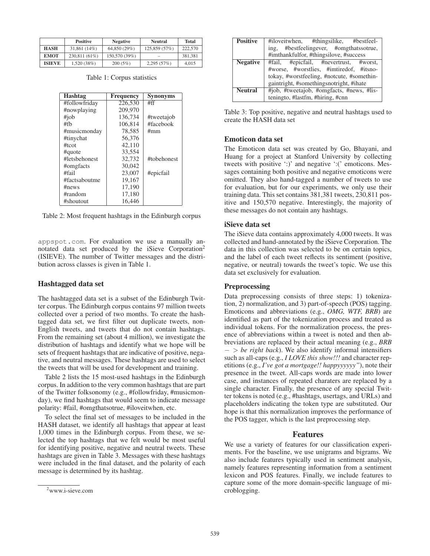|               | <b>Positive</b> | <b>Negative</b> | Neutral       | <b>Total</b> |
|---------------|-----------------|-----------------|---------------|--------------|
| <b>HASH</b>   | $31,861(14\%)$  | 64,850 (29%)    | 125,859 (57%) | 222,570      |
| <b>EMOT</b>   | 230,811 (61%)   | 150,570 (39%)   |               | 381.381      |
| <b>ISIEVE</b> | 1,520(38%)      | 200(5%)         | 2,295(57%)    | 4.015        |

Table 1: Corpus statistics

| Hashtag       | <b>Frequency</b> | <b>Synonyms</b> |
|---------------|------------------|-----------------|
| #followfriday | 226,530          | #ff             |
| #nowplaying   | 209,970          |                 |
| $\#iob$       | 136.734          | #tweetajob      |
| #fh           | 106.814          | #facebook       |
| #musicmonday  | 78,585           | #mm             |
| #tinychat     | 56,376           |                 |
| #tcot         | 42,110           |                 |
| #quote        | 33.554           |                 |
| #letsbehonest | 32.732           | #tobehonest     |
| #omgfacts     | 30.042           |                 |
| #fail         | 23,007           | #epicfail       |
| #factsaboutme | 19.167           |                 |
| #news         | 17,190           |                 |
| #random       | 17,180           |                 |
| #shoutout     | 16.446           |                 |

Table 2: Most frequent hashtags in the Edinburgh corpus

appspot.com. For evaluation we use a manually annotated data set produced by the iSieve Corporation2 (ISIEVE). The number of Twitter messages and the distribution across classes is given in Table 1.

### Hashtagged data set

The hashtagged data set is a subset of the Edinburgh Twitter corpus. The Edinburgh corpus contains 97 million tweets collected over a period of two months. To create the hashtagged data set, we first filter out duplicate tweets, non-English tweets, and tweets that do not contain hashtags. From the remaining set (about 4 million), we investigate the distribution of hashtags and identify what we hope will be sets of frequent hashtags that are indicative of positive, negative, and neutral messages. These hashtags are used to select the tweets that will be used for development and training.

Table 2 lists the 15 most-used hashtags in the Edinburgh corpus. In addition to the very common hashtags that are part of the Twitter folksonomy (e.g., #followfriday, #musicmonday), we find hashtags that would seem to indicate message polarity: #fail, #omgthatsotrue, #iloveitwhen, etc.

To select the final set of messages to be included in the HASH dataset, we identify all hashtags that appear at least 1,000 times in the Edinburgh corpus. From these, we selected the top hashtags that we felt would be most useful for identifying positive, negative and neutral tweets. These hashtags are given in Table 3. Messages with these hashtags were included in the final dataset, and the polarity of each message is determined by its hashtag.

| <b>Positive</b> | #iloveitwhen, #thingsilike, #bestfeel-     |  |  |
|-----------------|--------------------------------------------|--|--|
|                 | ing, #bestfeelingever, #omgthatssotrue,    |  |  |
|                 | #imthankfulfor, #thingsilove, #success     |  |  |
| <b>Negative</b> | #fail, #epicfail, #nevertrust, #worst,     |  |  |
|                 | #worse, #worstlies, #imtiredof, #itsno-    |  |  |
|                 | tokay, #worstfeeling, #notcute, #somethin- |  |  |
|                 | gaintright, #somethingsnotright, #ihate    |  |  |
| <b>Neutral</b>  | #job, #tweetajob, #omgfacts, #news, #lis-  |  |  |
|                 | teningto, #lastfm, #hiring, #cnn           |  |  |

Table 3: Top positive, negative and neutral hashtags used to create the HASH data set

# Emoticon data set

The Emoticon data set was created by Go, Bhayani, and Huang for a project at Stanford University by collecting tweets with positive ':)' and negative ':(' emoticons. Messages containing both positive and negative emoticons were omitted. They also hand-tagged a number of tweets to use for evaluation, but for our experiments, we only use their training data. This set contains 381,381 tweets, 230,811 positive and 150,570 negative. Interestingly, the majority of these messages do not contain any hashtags.

### iSieve data set

The iSieve data contains approximately 4,000 tweets. It was collected and hand-annotated by the iSieve Corporation. The data in this collection was selected to be on certain topics, and the label of each tweet reflects its sentiment (positive, negative, or neutral) towards the tweet's topic. We use this data set exclusively for evaluation.

### **Preprocessing**

Data preprocessing consists of three steps: 1) tokenization, 2) normalization, and 3) part-of-speech (POS) tagging. Emoticons and abbreviations (e.g., *OMG, WTF, BRB*) are identified as part of the tokenization process and treated as individual tokens. For the normalization process, the presence of abbreviations within a tweet is noted and then abbreviations are replaced by their actual meaning (e.g., *BRB* − > *be right back*). We also identify informal intensifiers such as all-caps (e.g., *I LOVE this show!!!* and character repetitions (e.g., *I've got a mortgage!! happyyyyyy"*), note their presence in the tweet. All-caps words are made into lower case, and instances of repeated charaters are replaced by a single character. Finally, the presence of any special Twitter tokens is noted (e.g., #hashtags, usertags, and URLs) and placeholders indicating the token type are substituted. Our hope is that this normalization improves the performance of the POS tagger, which is the last preprocessing step.

# Features

We use a variety of features for our classification experiments. For the baseline, we use unigrams and bigrams. We also include features typically used in sentiment analysis, namely features representing information from a sentiment lexicon and POS features. Finally, we include features to capture some of the more domain-specific language of microblogging.

<sup>2</sup> www.i-sieve.com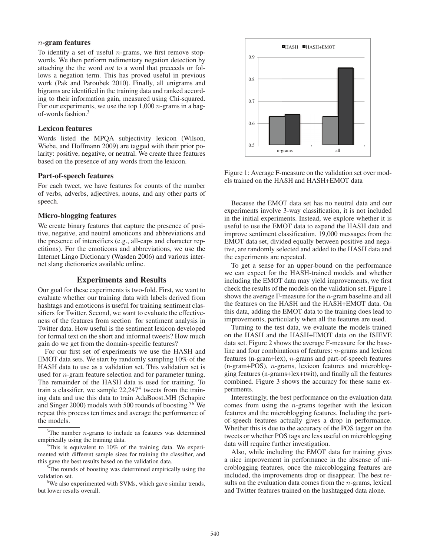### n-gram features

To identify a set of useful  $n$ -grams, we first remove stopwords. We then perform rudimentary negation detection by attaching the the word *not* to a word that preceeds or follows a negation term. This has proved useful in previous work (Pak and Paroubek 2010). Finally, all unigrams and bigrams are identified in the training data and ranked according to their information gain, measured using Chi-squared. For our experiments, we use the top  $1,000$  *n*-grams in a bagof-words fashion.3

## Lexicon features

Words listed the MPQA subjectivity lexicon (Wilson, Wiebe, and Hoffmann 2009) are tagged with their prior polarity: positive, negative, or neutral. We create three features based on the presence of any words from the lexicon.

#### Part-of-speech features

For each tweet, we have features for counts of the number of verbs, adverbs, adjectives, nouns, and any other parts of speech.

### Micro-blogging features

We create binary features that capture the presence of positive, negative, and neutral emoticons and abbreviations and the presence of intensifiers (e.g., all-caps and character repetitions). For the emoticons and abbreviations, we use the Internet Lingo Dictionary (Wasden 2006) and various internet slang dictionaries available online.

### Experiments and Results

Our goal for these experiments is two-fold. First, we want to evaluate whether our training data with labels derived from hashtags and emoticons is useful for training sentiment classifiers for Twitter. Second, we want to evaluate the effectiveness of the features from section for sentiment analysis in Twitter data. How useful is the sentiment lexicon developed for formal text on the short and informal tweets? How much gain do we get from the domain-specific features?

For our first set of experiments we use the HASH and EMOT data sets. We start by randomly sampling 10% of the HASH data to use as a validation set. This validation set is used for n-gram feature selection and for parameter tuning. The remainder of the HASH data is used for training. To train a classifier, we sample 22,2474 tweets from the training data and use this data to train AdaBoost.MH (Schapire and Singer 2000) models with 500 rounds of boosting.<sup>56</sup> We repeat this process ten times and average the performance of the models.

<sup>5</sup>The rounds of boosting was determined empirically using the validation set.

<sup>6</sup>We also experimented with SVMs, which gave similar trends, but lower results overall.



Figure 1: Average F-measure on the validation set over models trained on the HASH and HASH+EMOT data

Because the EMOT data set has no neutral data and our experiments involve 3-way classification, it is not included in the initial experiments. Instead, we explore whether it is useful to use the EMOT data to expand the HASH data and improve sentiment classification. 19,000 messages from the EMOT data set, divided equally between positive and negative, are randomly selected and added to the HASH data and the experiments are repeated.

To get a sense for an upper-bound on the performance we can expect for the HASH-trained models and whether including the EMOT data may yield improvements, we first check the results of the models on the validation set. Figure 1 shows the average F-measure for the n-gram baseline and all the features on the HASH and the HASH+EMOT data. On this data, adding the EMOT data to the training does lead to improvements, particularly when all the features are used.

Turning to the test data, we evaluate the models trained on the HASH and the HASH+EMOT data on the ISIEVE data set. Figure 2 shows the average F-measure for the baseline and four combinations of features: n-grams and lexicon features (n-gram+lex), n-grams and part-of-speech features (n-gram+POS), n-grams, lexicon features and microblogging features (n-grams+lex+twit), and finally all the features combined. Figure 3 shows the accuracy for these same experiments.

Interestingly, the best performance on the evaluation data comes from using the  $n$ -grams together with the lexicon features and the microblogging features. Including the partof-speech features actually gives a drop in performance. Whether this is due to the accuracy of the POS tagger on the tweets or whether POS tags are less useful on microblogging data will require further investigation.

Also, while including the EMOT data for training gives a nice improvement in performance in the absense of microblogging features, once the microblogging features are included, the improvements drop or disappear. The best results on the evaluation data comes from the  $n$ -grams, lexical and Twitter features trained on the hashtagged data alone.

 $3$ The number *n*-grams to include as features was determined empirically using the training data.

<sup>&</sup>lt;sup>4</sup>This is equivalent to 10% of the training data. We experimented with different sample sizes for training the classifier, and this gave the best results based on the validation data.